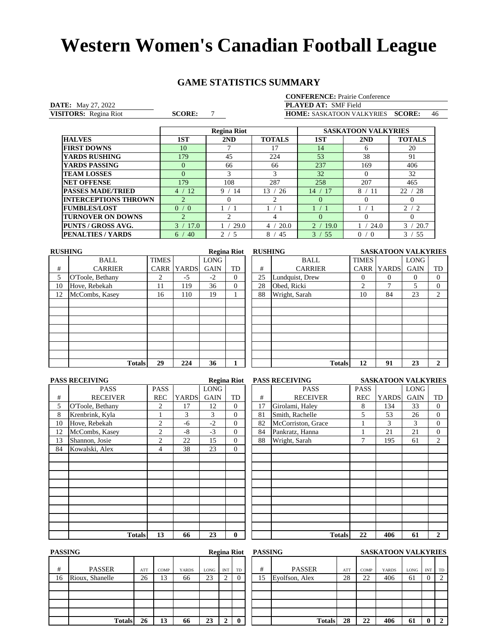## **GAME STATISTICS SUMMARY**

| <b>CONFERENCE:</b> Prairie Conference |  |
|---------------------------------------|--|
| <b>DI AVED AT. CME EMIL</b>           |  |

**DATE:** May 27, 2022<br> **VISITORS:** Regina Riot<br> **SCORE:** 7 VISITORS: Regina Riot

**VISITORS:** Regina Riot **SCORE:** 7 **HOME:** SASKATOON VALKYRIES **SCORE:** 46 **PLAYED AT:** SMF Field

|                             |                       | <b>Regina Riot</b>   |               | <b>SASKATOON VALKYRIES</b> |               |                       |  |  |
|-----------------------------|-----------------------|----------------------|---------------|----------------------------|---------------|-----------------------|--|--|
| <b>HALVES</b>               | 1ST                   | 2ND                  | <b>TOTALS</b> | 1ST                        | 2ND           | <b>TOTALS</b>         |  |  |
| <b>FIRST DOWNS</b>          | 10                    |                      | 17            | 14                         | <sub>6</sub>  | 20                    |  |  |
| <b>YARDS RUSHING</b>        | 179                   | 45                   | 224           | 53                         | 38            | 91                    |  |  |
| YARDS PASSING               | $\Omega$              | 66                   | 66            | 237                        | 169           | 406                   |  |  |
| <b>TEAM LOSSES</b>          | $\Omega$              | 3                    | 3             | 32                         | $\Omega$      | 32                    |  |  |
| <b>NET OFFENSE</b>          | 179                   | 108                  | 287           | 258                        | 207           | 465                   |  |  |
| <b>PASSES MADE/TRIED</b>    | -12<br>4              | 9<br>14              | 13<br>-26     | 17<br>14                   | 8.<br>-11     | 22<br>-28             |  |  |
| <b>INTERCEPTIONS THROWN</b> | $\overline{2}$        | $\Omega$             |               | $\Omega$                   | $\Omega$      | $\Omega$              |  |  |
| <b>FUMBLES/LOST</b>         | 0/0                   |                      |               |                            |               | 2/2                   |  |  |
| <b>TURNOVER ON DOWNS</b>    | $\mathcal{D}_{\cdot}$ |                      |               | $\theta$                   | $\theta$      | $\Omega$              |  |  |
| <b>PUNTS / GROSS AVG.</b>   | $\mathcal{R}$<br>17.0 | 29.0                 | 20.0<br>4     | 19.0                       | 24.0          | $\mathcal{L}$<br>20.7 |  |  |
| <b>PENALTIES / YARDS</b>    | 40<br>6.              | $\mathfrak{D}$<br>-5 | 8<br>45       | 3<br>55                    | 0<br>$\Omega$ | 55<br>$\mathcal{R}$   |  |  |

| <b>RUSHING</b> |                  |                |              |             | <b>Regina Riot</b> |    | <b>RUSHING</b>  |              | <b>SASKATOON VALKYRIES</b> |             |                |
|----------------|------------------|----------------|--------------|-------------|--------------------|----|-----------------|--------------|----------------------------|-------------|----------------|
|                | BALL             | <b>TIMES</b>   |              | LONG        |                    |    | <b>BALL</b>     | <b>TIMES</b> |                            | <b>LONG</b> |                |
| #              | <b>CARRIER</b>   | CARR           | <b>YARDS</b> | <b>GAIN</b> | TD                 | #  | <b>CARRIER</b>  | <b>CARR</b>  | <b>YARDS</b>               | <b>GAIN</b> | TD             |
| 5              | O'Toole, Bethany | $\overline{c}$ | $-5$         | $-2$        | $\Omega$           | 25 | Lundquist, Drew | $\Omega$     | 0                          |             | $\Omega$       |
| 10             | Hove, Rebekah    | 11             | 119          | 36          | $\Omega$           | 28 | Obed, Ricki     | C            | ⇁                          |             | $\Omega$       |
| 12             | McCombs, Kasey   | 16             | 110          | 19          |                    | 88 | Wright, Sarah   | 10           | 84                         | 23          | $\overline{2}$ |
|                |                  |                |              |             |                    |    |                 |              |                            |             |                |
|                |                  |                |              |             |                    |    |                 |              |                            |             |                |
|                |                  |                |              |             |                    |    |                 |              |                            |             |                |
|                |                  |                |              |             |                    |    |                 |              |                            |             |                |
|                |                  |                |              |             |                    |    |                 |              |                            |             |                |
|                |                  |                |              |             |                    |    |                 |              |                            |             |                |
|                |                  |                |              |             |                    |    |                 |              |                            |             |                |
|                | <b>Totals</b>    | 29             | 224          | 36          |                    |    | <b>Totals</b>   | 12           | 91                         | 23          | $\mathbf{2}$   |
|                |                  |                |              |             |                    |    |                 |              |                            |             |                |

| <b>PASS RECEIVING</b> |                  |                |              |             | <b>Regina Riot</b> |    | <b>PASS RECEIVING</b> | <b>SASKATOON VALKYRIES</b> |              |             |                |
|-----------------------|------------------|----------------|--------------|-------------|--------------------|----|-----------------------|----------------------------|--------------|-------------|----------------|
|                       | <b>PASS</b>      | <b>PASS</b>    |              | <b>LONG</b> |                    |    | <b>PASS</b>           | <b>PASS</b>                |              | LONG        |                |
| #                     | <b>RECEIVER</b>  | <b>REC</b>     | <b>YARDS</b> | <b>GAIN</b> | TD                 | #  | <b>RECEIVER</b>       | <b>REC</b>                 | <b>YARDS</b> | <b>GAIN</b> | TD             |
| 5                     | O'Toole, Bethany | $\overline{2}$ | 17           | 12          | $\Omega$           | 17 | Girolami, Haley       | 8                          | 134          | 33          | $\overline{0}$ |
| 8                     | Krenbrink, Kyla  |                | 3            | 3           | $\mathbf{0}$       | 81 | Smith, Rachelle       | 5                          | 53           | 26          | $\overline{0}$ |
| 10                    | Hove, Rebekah    | $\overline{c}$ | -6           | $-2$        | $\Omega$           | 82 | McCorriston, Grace    |                            | 3            | 3           | $\overline{0}$ |
| 12                    | McCombs, Kasey   | 2              | $-8$         | $-3$        | $\Omega$           | 84 | Pankratz, Hanna       |                            | 21           | 21          | $\overline{0}$ |
| 13                    | Shannon, Josie   | 2              | 22           | 15          | $\Omega$           | 88 | Wright, Sarah         | 7                          | 195          | 61          | 2              |
| 84                    | Kowalski, Alex   | 4              | 38           | 23          | $\theta$           |    |                       |                            |              |             |                |
|                       |                  |                |              |             |                    |    |                       |                            |              |             |                |
|                       |                  |                |              |             |                    |    |                       |                            |              |             |                |
|                       |                  |                |              |             |                    |    |                       |                            |              |             |                |
|                       |                  |                |              |             |                    |    |                       |                            |              |             |                |
|                       |                  |                |              |             |                    |    |                       |                            |              |             |                |
|                       |                  |                |              |             |                    |    |                       |                            |              |             |                |
|                       |                  |                |              |             |                    |    |                       |                            |              |             |                |
|                       |                  |                |              |             |                    |    |                       |                            |              |             |                |
|                       |                  |                |              |             |                    |    |                       |                            |              |             |                |
|                       | <b>Totals</b>    | 13             | 66           | 23          | $\mathbf{0}$       |    | <b>Totals</b>         | 22                         | 406          | 61          | $\overline{2}$ |

|    |                    | <b>SASKATOON VALKYRIES</b> |                       |             |                  |  |  |  |  |
|----|--------------------|----------------------------|-----------------------|-------------|------------------|--|--|--|--|
|    | <b>PASS</b>        | <b>PASS</b>                |                       | <b>LONG</b> |                  |  |  |  |  |
| #  | <b>RECEIVER</b>    | <b>REC</b>                 | <b>YARDS</b>          | <b>GAIN</b> | TD               |  |  |  |  |
| 17 | Girolami, Haley    | 8                          | 134                   | 33          | $\mathbf{0}$     |  |  |  |  |
| 81 | Smith, Rachelle    | 5                          | 53                    | 26          | $\boldsymbol{0}$ |  |  |  |  |
| 82 | McCorriston, Grace |                            | 3                     | 3           | $\overline{0}$   |  |  |  |  |
| 84 | Pankratz, Hanna    |                            | 21                    | 21          | $\overline{0}$   |  |  |  |  |
| 88 | Wright, Sarah      | 7                          | 195                   | 61          | $\overline{c}$   |  |  |  |  |
|    |                    |                            |                       |             |                  |  |  |  |  |
|    |                    |                            |                       |             |                  |  |  |  |  |
|    |                    |                            |                       |             |                  |  |  |  |  |
|    |                    |                            |                       |             |                  |  |  |  |  |
|    |                    |                            |                       |             |                  |  |  |  |  |
|    |                    |                            |                       |             |                  |  |  |  |  |
|    |                    |                            |                       |             |                  |  |  |  |  |
|    |                    |                            |                       |             |                  |  |  |  |  |
|    |                    |                            |                       |             |                  |  |  |  |  |
|    |                    |                            |                       |             |                  |  |  |  |  |
|    | <b>Totals</b>      | 22                         | 406                   | 61          | $\mathbf{2}$     |  |  |  |  |
|    |                    |                            | <b>PASS RECEIVING</b> |             |                  |  |  |  |  |

| <b>PASSING</b> |                 |     |      |              |             |            | <b>Regina Riot</b> | <b>PASSING</b> |                |     |      | <b>SASKATOON VALKYRIES</b> |      |            |    |
|----------------|-----------------|-----|------|--------------|-------------|------------|--------------------|----------------|----------------|-----|------|----------------------------|------|------------|----|
| #              | <b>PASSER</b>   | ATT | COMP | <b>YARDS</b> | <b>LONG</b> | <b>INT</b> | TD                 | #              | <b>PASSER</b>  | ATT | COMP | <b>YARDS</b>               | LONG | <b>INT</b> | TD |
| 16             | Rioux, Shanelle | 26  | 13   | 66           | 23          |            |                    | 15             | Evolfson, Alex | 28  | 22   | 406                        | 61   |            |    |
|                |                 |     |      |              |             |            |                    |                |                |     |      |                            |      |            |    |
|                |                 |     |      |              |             |            |                    |                |                |     |      |                            |      |            |    |
|                |                 |     |      |              |             |            |                    |                |                |     |      |                            |      |            |    |
|                |                 |     |      |              |             |            |                    |                |                |     |      |                            |      |            |    |
|                | <b>Totals</b>   | 26  | 13   | 66           | 23          |            | $\bf{0}$           |                | <b>Totals</b>  | 28  | 22   | 406                        | 61   | 0          | -2 |

|               |     |             |              |      |            | <b>Regina Riot</b> | PASSING |                | <b>SASKATOON VALKYRIES</b> |      |              |             |                |    |
|---------------|-----|-------------|--------------|------|------------|--------------------|---------|----------------|----------------------------|------|--------------|-------------|----------------|----|
|               | ATT | <b>COMP</b> | <b>YARDS</b> | LONG | <b>INT</b> | TD                 | #       | <b>PASSER</b>  | ATT                        | COMP | <b>YARDS</b> | <b>LONG</b> | <b>INT</b>     | TD |
|               | 26  | 13          | 66           | 23   |            | $\theta$           | 15      | Eyolfson, Alex | 28                         | 22   | 406          | 61          | $\overline{0}$ |    |
|               |     |             |              |      |            |                    |         |                |                            |      |              |             |                |    |
|               |     |             |              |      |            |                    |         |                |                            |      |              |             |                |    |
|               |     |             |              |      |            |                    |         |                |                            |      |              |             |                |    |
|               |     |             |              |      |            |                    |         |                |                            |      |              |             |                |    |
| <b>Totals</b> | 26  | 13          | 66           | 23   |            | $\mathbf{0}$       |         | <b>Totals</b>  | 28                         | 22   | 406          | 61          | 0              |    |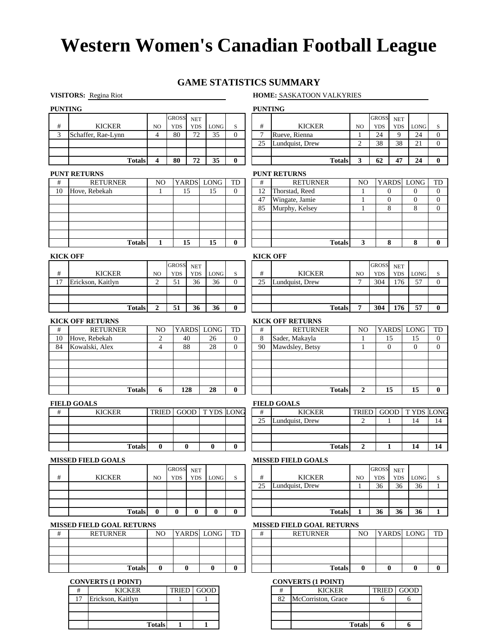## **GAME STATISTICS SUMMARY**

#### **VISITORS:** Regina Riot **HOME:** SASKATOON VALKYRIES

**Totals 6 6**

| <b>PUNTING</b> |                                            |                         |                            |                          |             |                  | <b>PUNTING</b>            |                                            |                     |                            |                          |                |                |
|----------------|--------------------------------------------|-------------------------|----------------------------|--------------------------|-------------|------------------|---------------------------|--------------------------------------------|---------------------|----------------------------|--------------------------|----------------|----------------|
|                |                                            |                         | <b>GROSS</b>               | <b>NET</b>               |             |                  |                           |                                            |                     | <b>GROSS</b>               | <b>NET</b>               |                |                |
| $\#$           | <b>KICKER</b>                              | NO                      | <b>YDS</b>                 | <b>YDS</b>               | LONG        | S                | $\#$                      | <b>KICKER</b>                              | N <sub>O</sub>      | <b>YDS</b>                 | <b>YDS</b>               | <b>LONG</b>    | S              |
| 3              | Schaffer, Rae-Lynn                         | $\overline{4}$          | 80                         | 72                       | 35          | $\theta$         | $7\phantom{.0}$           | Rueve, Rienna                              | $\mathbf{1}$        | 24                         | 9                        | 24             | $\mathbf{0}$   |
|                |                                            |                         |                            |                          |             |                  | 25                        | Lundquist, Drew                            | $\overline{2}$      | 38                         | 38                       | 21             | $\overline{0}$ |
|                | <b>Totals</b>                              | $\overline{\mathbf{4}}$ | 80                         | 72                       | 35          | 0                |                           | <b>Totals</b>                              | 3                   | 62                         | 47                       | 24             | $\bf{0}$       |
|                |                                            |                         |                            |                          |             |                  |                           |                                            |                     |                            |                          |                |                |
|                | <b>PUNT RETURNS</b>                        |                         |                            |                          |             |                  |                           | <b>PUNT RETURNS</b>                        |                     |                            |                          |                |                |
| #              | <b>RETURNER</b>                            | N <sub>O</sub>          |                            | <b>YARDS</b>             | <b>LONG</b> | TD               | $\#$                      | <b>RETURNER</b>                            | N <sub>O</sub>      | <b>YARDS</b>               |                          | <b>LONG</b>    | TD             |
| 10             | Hove, Rebekah                              | $\mathbf{1}$            |                            | 15                       | 15          | $\theta$         | 12                        | Thorstad, Reed                             | 1                   | $\boldsymbol{0}$           |                          | $\theta$       | $\mathbf{0}$   |
|                |                                            |                         |                            |                          |             |                  | 47                        | Wingate, Jamie                             | 1                   | $\theta$                   |                          | $\overline{0}$ | $\overline{0}$ |
|                |                                            |                         |                            |                          |             |                  | 85                        | Murphy, Kelsey                             | 1                   | 8                          |                          | 8              | $\mathbf{0}$   |
|                |                                            |                         |                            |                          |             |                  |                           |                                            |                     |                            |                          |                |                |
|                |                                            |                         |                            |                          |             |                  |                           |                                            |                     |                            |                          |                |                |
|                | <b>Totals</b>                              | 1                       |                            | 15                       | 15          | $\bf{0}$         |                           | <b>Totals</b>                              | 3                   | 8                          |                          | 8              | $\bf{0}$       |
|                |                                            |                         |                            |                          |             |                  |                           |                                            |                     |                            |                          |                |                |
|                | <b>KICK OFF</b>                            |                         |                            |                          |             |                  | <b>KICK OFF</b>           |                                            |                     |                            |                          |                |                |
| $\#$           | <b>KICKER</b>                              | NO                      | <b>GROSS</b><br><b>YDS</b> | <b>NET</b><br><b>YDS</b> |             |                  | #                         | <b>KICKER</b>                              | NO                  | <b>GROSS</b><br><b>YDS</b> | <b>NET</b><br><b>YDS</b> | LONG           |                |
| 17             | Erickson, Kaitlyn                          | $\overline{2}$          | 51                         | 36                       | LONG<br>36  | S<br>$\Omega$    | 25                        | Lundquist, Drew                            | 7                   | 304                        | 176                      | 57             | S<br>$\Omega$  |
|                |                                            |                         |                            |                          |             |                  |                           |                                            |                     |                            |                          |                |                |
|                |                                            |                         |                            |                          |             |                  |                           |                                            |                     |                            |                          |                |                |
|                | <b>Totals</b>                              | $\overline{2}$          | 51                         | 36                       | 36          | $\bf{0}$         |                           | <b>Totals</b>                              | 7                   | 304                        | 176                      | 57             | $\bf{0}$       |
|                |                                            |                         |                            |                          |             |                  |                           |                                            |                     |                            |                          |                |                |
|                | <b>KICK OFF RETURNS</b><br><b>RETURNER</b> | N <sub>O</sub>          |                            |                          | YARDS LONG  | TD               | $\#$                      | <b>KICK OFF RETURNS</b><br><b>RETURNER</b> |                     |                            | <b>YARDS</b>             | <b>LONG</b>    | TD             |
| #<br>10        | Hove, Rebekah                              | $\overline{c}$          |                            | 40                       | 26          | $\theta$         | 8                         | Sader, Makayla                             | N <sub>O</sub><br>1 | 15                         |                          | 15             | $\overline{0}$ |
| 84             | Kowalski, Alex                             | 4                       |                            | 88                       | 28          | $\Omega$         | 90                        | Mawdsley, Betsy                            | 1                   | $\boldsymbol{0}$           |                          | $\theta$       | $\mathbf{0}$   |
|                |                                            |                         |                            |                          |             |                  |                           |                                            |                     |                            |                          |                |                |
|                |                                            |                         |                            |                          |             |                  |                           |                                            |                     |                            |                          |                |                |
|                |                                            |                         |                            |                          |             |                  |                           |                                            |                     |                            |                          |                |                |
|                |                                            |                         |                            |                          |             |                  |                           |                                            |                     |                            |                          |                |                |
|                | <b>Totals</b>                              | 6                       |                            | 128                      | 28          | $\bf{0}$         |                           | <b>Totals</b>                              | $\overline{2}$      | 15                         |                          | 15             | $\bf{0}$       |
|                | <b>FIELD GOALS</b>                         |                         |                            |                          |             |                  |                           | <b>FIELD GOALS</b>                         |                     |                            |                          |                |                |
| #              | <b>KICKER</b>                              | <b>TRIED</b>            |                            | GOOD                     |             | <b>TYDS LONG</b> | #                         | <b>KICKER</b>                              | <b>TRIED</b>        | GOOD                       |                          | T YDS          | LONG           |
|                |                                            |                         |                            |                          |             |                  | 25                        | Lundquist, Drew                            | 2                   | 1                          |                          | 14             | 14             |
|                |                                            |                         |                            |                          |             |                  |                           |                                            |                     |                            |                          |                |                |
|                |                                            |                         |                            |                          |             |                  |                           |                                            |                     |                            |                          |                |                |
|                | <b>Totals</b>                              | $\bf{0}$                |                            | $\mathbf{0}$             | 0           | $\mathbf{0}$     |                           | <b>Totals</b>                              | $\overline{2}$      | 1                          |                          | 14             | 14             |
|                | <b>MISSED FIELD GOALS</b>                  |                         |                            |                          |             |                  |                           | <b>MISSED FIELD GOALS</b>                  |                     |                            |                          |                |                |
|                |                                            |                         | GROSS                      | <b>NET</b>               |             |                  |                           |                                            |                     | <b>GROSS</b>               | <b>NET</b>               |                |                |
| #              | <b>KICKER</b>                              | NO                      | <b>YDS</b>                 | <b>YDS</b>               | LONG        | S                | #                         | <b>KICKER</b>                              | NO                  | <b>YDS</b>                 | <b>YDS</b>               | LONG           | S              |
|                |                                            |                         |                            |                          |             |                  | 25                        | Lundquist, Drew                            | 1                   | 36                         | 36                       | 36             | 1              |
|                |                                            |                         |                            |                          |             |                  |                           |                                            |                     |                            |                          |                |                |
|                |                                            |                         |                            |                          |             |                  |                           |                                            |                     |                            |                          |                |                |
|                | <b>Totals</b>                              | $\bf{0}$                | $\bf{0}$                   | $\bf{0}$                 | $\bf{0}$    | $\bf{0}$         |                           | <b>Totals</b>                              | 1                   | 36                         | 36                       | 36             | 1              |
|                | <b>MISSED FIELD GOAL RETURNS</b>           |                         |                            |                          |             |                  |                           | <b>MISSED FIELD GOAL RETURNS</b>           |                     |                            |                          |                |                |
| #              | <b>RETURNER</b>                            | N <sub>O</sub>          |                            |                          | YARDS LONG  | TD               | #                         | <b>RETURNER</b>                            | NO                  | <b>YARDS</b>               |                          | <b>LONG</b>    | TD             |
|                |                                            |                         |                            |                          |             |                  |                           |                                            |                     |                            |                          |                |                |
|                |                                            |                         |                            |                          |             |                  |                           |                                            |                     |                            |                          |                |                |
|                |                                            |                         |                            |                          |             |                  |                           |                                            |                     |                            |                          |                |                |
|                | <b>Totals</b>                              | $\bf{0}$                |                            | $\bf{0}$                 | 0           | $\bf{0}$         |                           | <b>Totals</b>                              | $\bf{0}$            |                            | $\bf{0}$                 | $\bf{0}$       | $\bf{0}$       |
|                | <b>CONVERTS (1 POINT)</b>                  |                         |                            |                          |             |                  | <b>CONVERTS (1 POINT)</b> |                                            |                     |                            |                          |                |                |
|                | #<br><b>KICKER</b>                         |                         | TRIED                      |                          | GOOD        |                  |                           | #<br><b>KICKER</b>                         |                     | TRIED                      |                          | GOOD           |                |
|                |                                            |                         |                            |                          |             |                  |                           |                                            |                     |                            |                          |                |                |
|                | 17<br>Erickson, Kaitlyn                    |                         | 1                          |                          | 1           |                  |                           | 82<br>McCorriston, Grace                   |                     | 6                          |                          | 6              |                |

**Totals**

**1 1**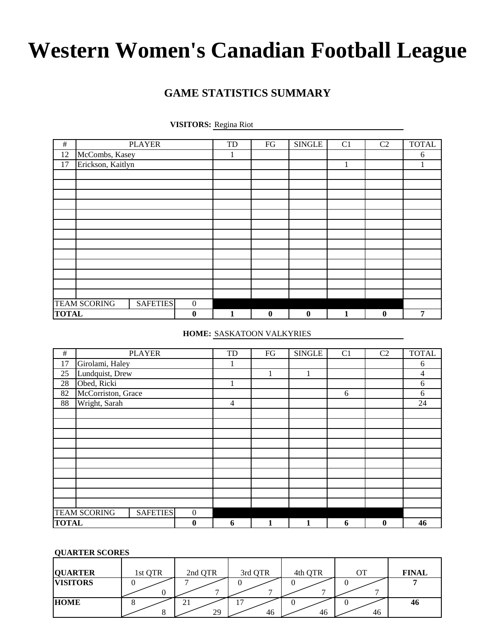# **GAME STATISTICS SUMMARY**

**VISITORS:** Regina Riot

| $\#$         |                     | <b>PLAYER</b>   |                  | TD | FG       | <b>SINGLE</b> | C <sub>1</sub> | C <sub>2</sub> | <b>TOTAL</b> |
|--------------|---------------------|-----------------|------------------|----|----------|---------------|----------------|----------------|--------------|
| 12           | McCombs, Kasey      |                 |                  | 1  |          |               |                |                | 6            |
| 17           | Erickson, Kaitlyn   |                 |                  |    |          |               |                |                |              |
|              |                     |                 |                  |    |          |               |                |                |              |
|              |                     |                 |                  |    |          |               |                |                |              |
|              |                     |                 |                  |    |          |               |                |                |              |
|              |                     |                 |                  |    |          |               |                |                |              |
|              |                     |                 |                  |    |          |               |                |                |              |
|              |                     |                 |                  |    |          |               |                |                |              |
|              |                     |                 |                  |    |          |               |                |                |              |
|              |                     |                 |                  |    |          |               |                |                |              |
|              |                     |                 |                  |    |          |               |                |                |              |
|              |                     |                 |                  |    |          |               |                |                |              |
|              |                     |                 |                  |    |          |               |                |                |              |
|              |                     |                 |                  |    |          |               |                |                |              |
|              |                     |                 |                  |    |          |               |                |                |              |
|              | <b>TEAM SCORING</b> | <b>SAFETIES</b> | $\boldsymbol{0}$ |    |          |               |                |                |              |
| <b>TOTAL</b> |                     |                 | $\bf{0}$         | 1  | $\bf{0}$ | $\bf{0}$      | $\mathbf{1}$   | $\bf{0}$       | 7            |

**HOME:** SASKATOON VALKYRIES

| $\#$         |                     | <b>PLAYER</b>   |                  | TD             | FG          | <b>SINGLE</b> | C <sub>1</sub> | C <sub>2</sub> | <b>TOTAL</b> |
|--------------|---------------------|-----------------|------------------|----------------|-------------|---------------|----------------|----------------|--------------|
| 17           | Girolami, Haley     |                 |                  | 1              |             |               |                |                | 6            |
| 25           | Lundquist, Drew     |                 |                  |                | $\mathbf 1$ |               |                |                | 4            |
| 28           | Obed, Ricki         |                 |                  | 1              |             |               |                |                | 6            |
| 82           | McCorriston, Grace  |                 |                  |                |             |               | 6              |                | 6            |
| 88           | Wright, Sarah       |                 |                  | $\overline{4}$ |             |               |                |                | 24           |
|              |                     |                 |                  |                |             |               |                |                |              |
|              |                     |                 |                  |                |             |               |                |                |              |
|              |                     |                 |                  |                |             |               |                |                |              |
|              |                     |                 |                  |                |             |               |                |                |              |
|              |                     |                 |                  |                |             |               |                |                |              |
|              |                     |                 |                  |                |             |               |                |                |              |
|              |                     |                 |                  |                |             |               |                |                |              |
|              |                     |                 |                  |                |             |               |                |                |              |
|              |                     |                 |                  |                |             |               |                |                |              |
|              |                     |                 |                  |                |             |               |                |                |              |
|              | <b>TEAM SCORING</b> | <b>SAFETIES</b> | $\boldsymbol{0}$ |                |             |               |                |                |              |
| <b>TOTAL</b> |                     |                 | $\boldsymbol{0}$ | 6              | 1           |               | 6              | $\bf{0}$       | 46           |

## **QUARTER SCORES**

| <b>QUARTER</b>  | 1st QTR | 2nd QTR      | 3rd QTR                  | 4th QTR | OТ | <b>FINAL</b> |
|-----------------|---------|--------------|--------------------------|---------|----|--------------|
| <b>VISITORS</b> |         | $\mathbf{r}$ | $\overline{\phantom{0}}$ | −       | -  |              |
| <b>HOME</b>     |         | 21<br>29     | 46                       | v<br>46 | 46 | 46           |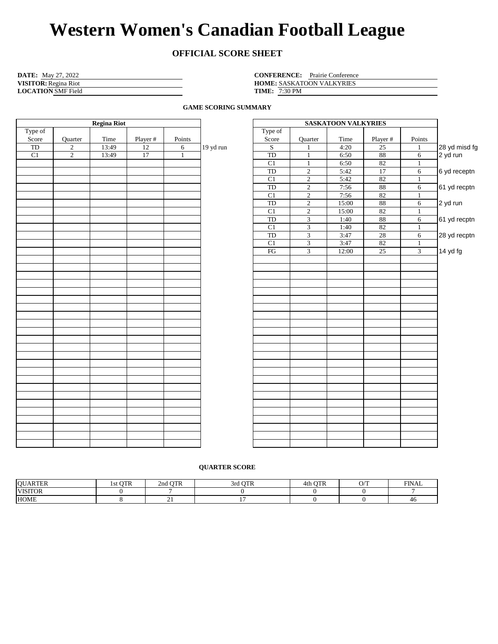# **OFFICIAL SCORE SHEET**

| <b>DATE:</b> May 27, 2022   | <b>CONFERENCE:</b> Prairie Conference |
|-----------------------------|---------------------------------------|
| <b>VISITOR:</b> Regina Riot | <b>HOME: SASKATOON VALKYRIES</b>      |
| <b>LOCATION SMF Field</b>   | <b>TIME:</b> $7:30 \text{ PM}$        |

HOME: SASKATOON VALKYRIES **TIME:** 7:30 PM

**GAME SCORING SUMMARY**

|         |                | <b>Regina Riot</b> |                                                     |        |           |                                                               |                                  | <b>SASKATOON VALKYRIES</b> |              |                |  |  |  |  |  |  |
|---------|----------------|--------------------|-----------------------------------------------------|--------|-----------|---------------------------------------------------------------|----------------------------------|----------------------------|--------------|----------------|--|--|--|--|--|--|
| Type of |                |                    |                                                     |        |           | Type of                                                       |                                  |                            |              |                |  |  |  |  |  |  |
| Score   | Quarter        | Time               | Player #                                            | Points |           | Score                                                         | Quarter                          | Time                       | Player #     | Points         |  |  |  |  |  |  |
| TD      | $\overline{2}$ | 13:49              | $\overline{12}$<br>$\sqrt{6}$<br>17<br>$\mathbf{1}$ |        | 19 yd run | $\sqrt{S}$                                                    | $\mathbf{1}$                     | 4:20                       | 25           | $\mathbf{1}$   |  |  |  |  |  |  |
| C1      | $\overline{2}$ | 13:49              |                                                     |        |           | <b>TD</b>                                                     | $\mathbf{1}$                     | 6:50                       | 88           | $\overline{6}$ |  |  |  |  |  |  |
|         |                |                    |                                                     |        |           | C1                                                            | $1\,$                            | 6:50                       | 82           | $\mathbf{1}$   |  |  |  |  |  |  |
|         |                |                    |                                                     |        |           | TD                                                            | $\overline{2}$<br>$\overline{2}$ | 5:42                       | 17           | $\overline{6}$ |  |  |  |  |  |  |
|         |                |                    |                                                     |        |           | C1                                                            | 5:42                             | 82                         | $\mathbf{1}$ |                |  |  |  |  |  |  |
|         |                |                    |                                                     |        |           | TD                                                            | $\overline{2}$                   | 7:56                       | $\bf 88$     | $6\,$          |  |  |  |  |  |  |
|         |                |                    |                                                     |        |           | $\overline{2}$<br>82<br>C1<br>7:56<br>$\overline{2}$<br>15:00 |                                  |                            |              |                |  |  |  |  |  |  |
|         |                |                    |                                                     |        |           | TD                                                            | $88\,$                           | $\sqrt{6}$                 |              |                |  |  |  |  |  |  |
|         |                |                    |                                                     |        |           | C1                                                            | $\overline{2}$                   | 15:00                      | 82           | $\mathbf{1}$   |  |  |  |  |  |  |
|         |                |                    |                                                     |        |           | TD                                                            | $\overline{3}$                   | 1:40                       | $88\,$       | $\sqrt{6}$     |  |  |  |  |  |  |
|         |                |                    |                                                     |        |           | C1                                                            | $\overline{3}$                   | 1:40                       | 82<br>$28\,$ | $\mathbf{1}$   |  |  |  |  |  |  |
|         |                |                    |                                                     |        |           | TD                                                            | $\overline{3}$<br>3:47           |                            |              | $\sqrt{6}$     |  |  |  |  |  |  |
|         |                |                    |                                                     |        |           | C1                                                            | $\overline{3}$                   | 3:47                       | 82           | $\mathbf{1}$   |  |  |  |  |  |  |
|         |                |                    |                                                     |        |           | $\mathop{\mathrm{FG}}$                                        | $\overline{3}$                   | 12:00                      | 25           | $\overline{3}$ |  |  |  |  |  |  |
|         |                |                    |                                                     |        |           |                                                               |                                  |                            |              |                |  |  |  |  |  |  |
|         |                |                    |                                                     |        |           |                                                               |                                  |                            |              |                |  |  |  |  |  |  |
|         |                |                    |                                                     |        |           |                                                               |                                  |                            |              |                |  |  |  |  |  |  |
|         |                |                    |                                                     |        |           |                                                               |                                  |                            |              |                |  |  |  |  |  |  |
|         |                |                    |                                                     |        |           |                                                               |                                  |                            |              |                |  |  |  |  |  |  |
|         |                |                    |                                                     |        |           |                                                               |                                  |                            |              |                |  |  |  |  |  |  |
|         |                |                    |                                                     |        |           |                                                               |                                  |                            |              |                |  |  |  |  |  |  |
|         |                |                    |                                                     |        |           |                                                               |                                  |                            |              |                |  |  |  |  |  |  |
|         |                |                    |                                                     |        |           |                                                               |                                  |                            |              |                |  |  |  |  |  |  |
|         |                |                    |                                                     |        |           |                                                               |                                  |                            |              |                |  |  |  |  |  |  |
|         |                |                    |                                                     |        |           |                                                               |                                  |                            |              |                |  |  |  |  |  |  |
|         |                |                    |                                                     |        |           |                                                               |                                  |                            |              |                |  |  |  |  |  |  |
|         |                |                    |                                                     |        |           |                                                               |                                  |                            |              |                |  |  |  |  |  |  |
|         |                |                    |                                                     |        |           |                                                               |                                  |                            |              |                |  |  |  |  |  |  |
|         |                |                    |                                                     |        |           |                                                               |                                  |                            |              |                |  |  |  |  |  |  |
|         |                |                    |                                                     |        |           |                                                               |                                  |                            |              |                |  |  |  |  |  |  |
|         |                |                    |                                                     |        |           |                                                               |                                  |                            |              |                |  |  |  |  |  |  |
|         |                |                    |                                                     |        |           |                                                               |                                  |                            |              |                |  |  |  |  |  |  |
|         |                |                    |                                                     |        |           |                                                               |                                  |                            |              |                |  |  |  |  |  |  |
|         |                |                    |                                                     |        |           |                                                               |                                  |                            |              |                |  |  |  |  |  |  |
|         |                |                    |                                                     |        |           |                                                               |                                  |                            |              |                |  |  |  |  |  |  |
|         |                |                    |                                                     |        |           |                                                               |                                  |                            |              |                |  |  |  |  |  |  |
|         |                |                    |                                                     |        |           |                                                               |                                  |                            |              |                |  |  |  |  |  |  |
|         |                |                    |                                                     |        |           |                                                               |                                  |                            |              |                |  |  |  |  |  |  |
|         |                |                    |                                                     |        |           |                                                               |                                  |                            |              |                |  |  |  |  |  |  |

|           | <b>SASKATOON VALKYRIES</b> |                |       |                 |              |               |  |  |  |  |  |  |  |  |
|-----------|----------------------------|----------------|-------|-----------------|--------------|---------------|--|--|--|--|--|--|--|--|
|           | Type of                    |                |       |                 |              |               |  |  |  |  |  |  |  |  |
|           | Score                      | Quarter        | Time  | Player #        | Points       |               |  |  |  |  |  |  |  |  |
| 19 yd run | $\overline{S}$             | $\mathbf{1}$   | 4:20  | 25              | $\mathbf{1}$ | 28 yd misd fg |  |  |  |  |  |  |  |  |
|           | TD                         | $\mathbf{1}$   | 6:50  | 88              | 6            | 2 yd run      |  |  |  |  |  |  |  |  |
|           | C1                         | $\mathbf{1}$   | 6:50  | 82              | $\mathbf{1}$ |               |  |  |  |  |  |  |  |  |
|           | TD                         | $\overline{2}$ | 5:42  | 17              | 6            | 6 yd receptn  |  |  |  |  |  |  |  |  |
|           | C1                         | $\overline{c}$ | 5:42  | 82              | $\mathbf{1}$ |               |  |  |  |  |  |  |  |  |
|           | TD                         | $\overline{c}$ | 7:56  | $88\,$          | $\sqrt{6}$   | 61 yd recptn  |  |  |  |  |  |  |  |  |
|           | $\mathop{\rm C}\nolimits1$ | $\overline{c}$ | 7:56  | 82              | $\mathbf{1}$ |               |  |  |  |  |  |  |  |  |
|           | TD                         | $\overline{c}$ | 15:00 | 88              | 6            | 2 yd run      |  |  |  |  |  |  |  |  |
|           | C1                         | $\overline{c}$ | 15:00 | 82              | $\mathbf{1}$ |               |  |  |  |  |  |  |  |  |
|           | $_{\rm TD}$                | $\overline{3}$ | 1:40  | $88\,$          | 6            | 61 yd recptn  |  |  |  |  |  |  |  |  |
|           | C1                         | $\overline{3}$ | 1:40  | 82              | $\mathbf{1}$ |               |  |  |  |  |  |  |  |  |
|           | $_{\rm TD}$                | $\overline{3}$ | 3:47  | $\overline{28}$ | $\sqrt{6}$   | 28 yd recptn  |  |  |  |  |  |  |  |  |
|           | C1                         | $\mathfrak{Z}$ | 3:47  | 82              | $\mathbf{1}$ |               |  |  |  |  |  |  |  |  |
|           | $\mathop{\text{FG}}$       | 3              | 12:00 | 25              | 3            | 14 yd fg      |  |  |  |  |  |  |  |  |
|           |                            |                |       |                 |              |               |  |  |  |  |  |  |  |  |
|           |                            |                |       |                 |              |               |  |  |  |  |  |  |  |  |
|           |                            |                |       |                 |              |               |  |  |  |  |  |  |  |  |
|           |                            |                |       |                 |              |               |  |  |  |  |  |  |  |  |
|           |                            |                |       |                 |              |               |  |  |  |  |  |  |  |  |
|           |                            |                |       |                 |              |               |  |  |  |  |  |  |  |  |
|           |                            |                |       |                 |              |               |  |  |  |  |  |  |  |  |
|           |                            |                |       |                 |              |               |  |  |  |  |  |  |  |  |
|           |                            |                |       |                 |              |               |  |  |  |  |  |  |  |  |
|           |                            |                |       |                 |              |               |  |  |  |  |  |  |  |  |
|           |                            |                |       |                 |              |               |  |  |  |  |  |  |  |  |
|           |                            |                |       |                 |              |               |  |  |  |  |  |  |  |  |
|           |                            |                |       |                 |              |               |  |  |  |  |  |  |  |  |
|           |                            |                |       |                 |              |               |  |  |  |  |  |  |  |  |
|           |                            |                |       |                 |              |               |  |  |  |  |  |  |  |  |
|           |                            |                |       |                 |              |               |  |  |  |  |  |  |  |  |
|           |                            |                |       |                 |              |               |  |  |  |  |  |  |  |  |
|           |                            |                |       |                 |              |               |  |  |  |  |  |  |  |  |
|           |                            |                |       |                 |              |               |  |  |  |  |  |  |  |  |
|           |                            |                |       |                 |              |               |  |  |  |  |  |  |  |  |
|           |                            |                |       |                 |              |               |  |  |  |  |  |  |  |  |
|           |                            |                |       |                 |              |               |  |  |  |  |  |  |  |  |
|           |                            |                |       |                 |              |               |  |  |  |  |  |  |  |  |
|           |                            |                |       |                 |              |               |  |  |  |  |  |  |  |  |
|           |                            |                |       |                 |              |               |  |  |  |  |  |  |  |  |

#### **QUARTER SCORE**

| <b>OUARTER</b> | <b>OTR</b><br>15t | <b>OTR</b><br>2nd | $\cap$ mm<br>- STO | $\alpha$ mp<br>4th | $\cap$ T<br>. ., | <b>FINAL</b> |
|----------------|-------------------|-------------------|--------------------|--------------------|------------------|--------------|
| <b>VISITOR</b> |                   |                   |                    |                    |                  |              |
| <b>HOME</b>    |                   | --                |                    |                    |                  | 46           |